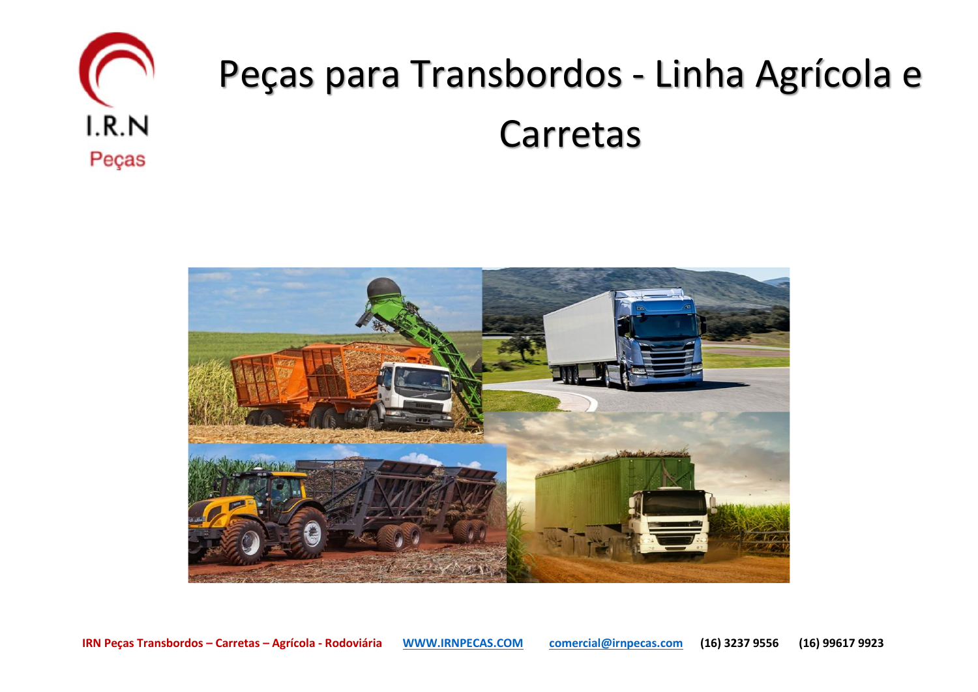

## F0001056 7 400301 75 411600 22 722048 190821 64 190320 19 1G1045 45 712161 400205 22 762150 1 100009 20 191155 85 208803 07 721003 020967 PF000016  $\blacksquare$ 006290 514036 001705 218801 35 190804 71 401901 20 1G96219 041-0 7A 721002 101013 101800 58 202705 27 700600 10100 1 722003 411600 20 226600 33 191171 46 005992 001789 400500 34 000008 401901 19 1G1858 8 0041-07 725163 1g137607 101901 00 190311 44 400430 20300 3 722004 411800 08 228825 14 191171 54 004071 89 001785 400200 10 000009 410200 12 1G21135 0041-03 725018 561015 521 712093 S 190311 52 603400 00000 1 722006 411800 09 525085 Peças para Transbordos - Linha Agrícola e Carretas

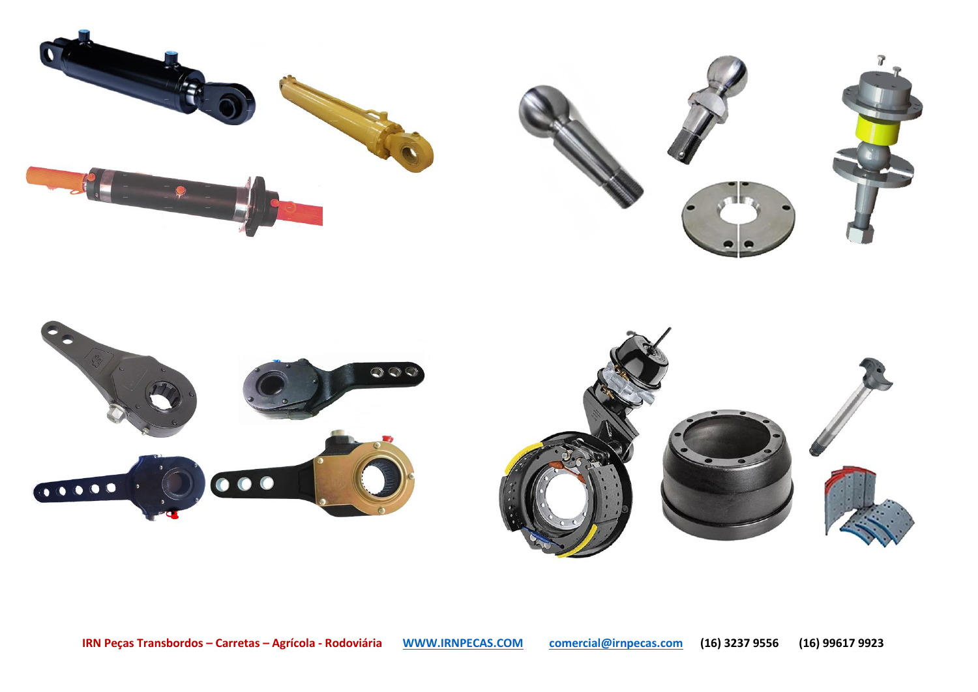

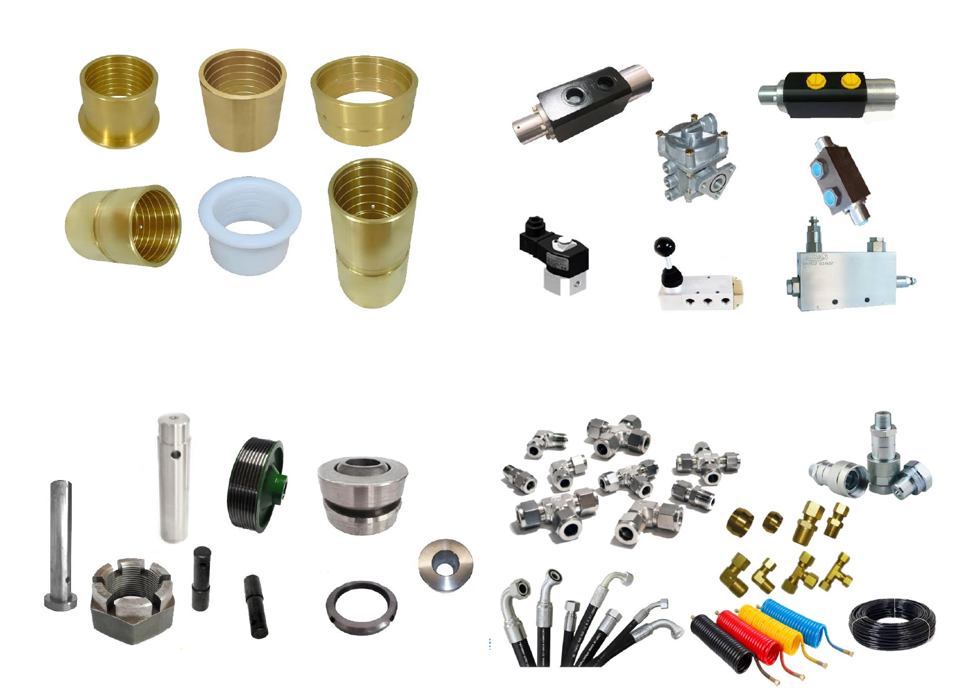

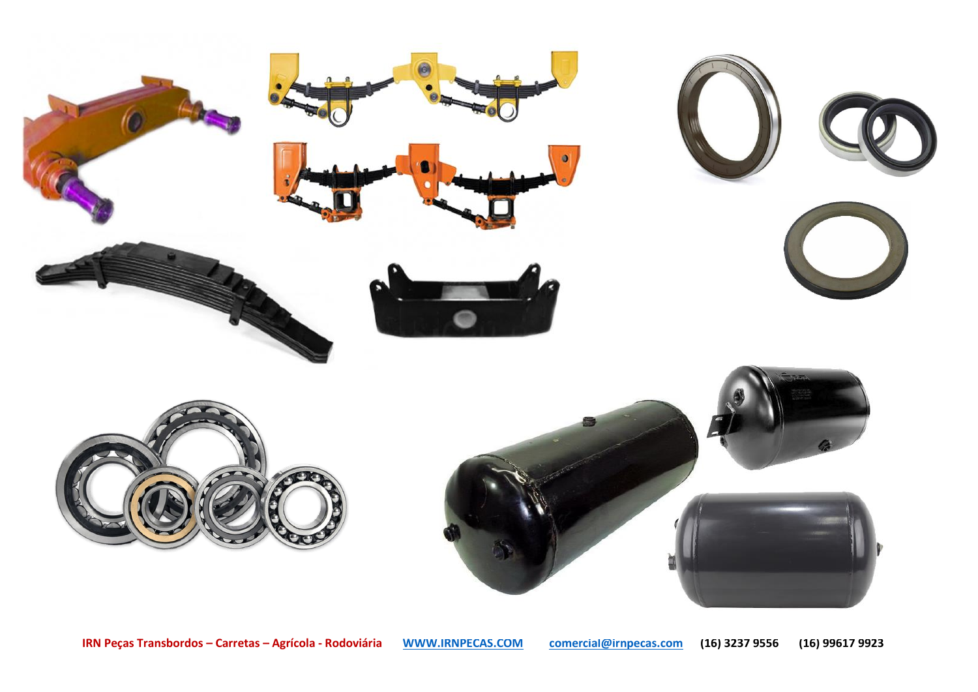

**IRN Peças Transbordos – Carretas – Agrícola - Rodoviária [WWW.IRNPECAS.COM](http://www.irnpecas.com/) [comercial@irnpecas.com](mailto:comercial@irnpecas.com) (16) 3237 9556 (16) 99617 9923** 710359